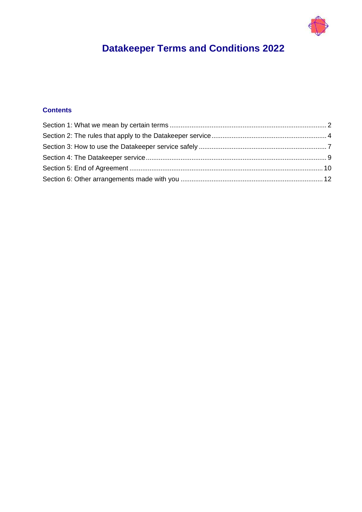

# **Datakeeper Terms and Conditions 2022**

# **Contents**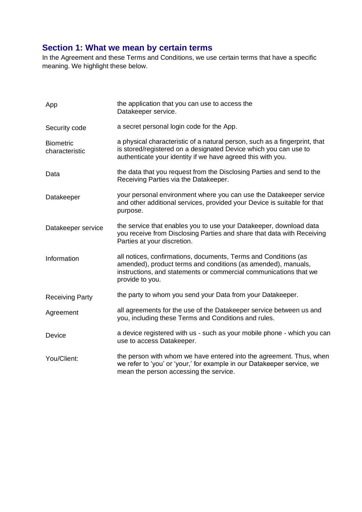# <span id="page-1-0"></span>**Section 1: What we mean by certain terms**

In the Agreement and these Terms and Conditions, we use certain terms that have a specific meaning. We highlight these below.

| App                                | the application that you can use to access the<br>Datakeeper service.                                                                                                                                                    |
|------------------------------------|--------------------------------------------------------------------------------------------------------------------------------------------------------------------------------------------------------------------------|
| Security code                      | a secret personal login code for the App.                                                                                                                                                                                |
| <b>Biometric</b><br>characteristic | a physical characteristic of a natural person, such as a fingerprint, that<br>is stored/registered on a designated Device which you can use to<br>authenticate your identity if we have agreed this with you.            |
| Data                               | the data that you request from the Disclosing Parties and send to the<br>Receiving Parties via the Datakeeper.                                                                                                           |
| Datakeeper                         | your personal environment where you can use the Datakeeper service<br>and other additional services, provided your Device is suitable for that<br>purpose.                                                               |
| Datakeeper service                 | the service that enables you to use your Datakeeper, download data<br>you receive from Disclosing Parties and share that data with Receiving<br>Parties at your discretion.                                              |
| Information                        | all notices, confirmations, documents, Terms and Conditions (as<br>amended), product terms and conditions (as amended), manuals,<br>instructions, and statements or commercial communications that we<br>provide to you. |
| <b>Receiving Party</b>             | the party to whom you send your Data from your Datakeeper.                                                                                                                                                               |
| Agreement                          | all agreements for the use of the Datakeeper service between us and<br>you, including these Terms and Conditions and rules.                                                                                              |
| Device                             | a device registered with us - such as your mobile phone - which you can<br>use to access Datakeeper.                                                                                                                     |
| You/Client:                        | the person with whom we have entered into the agreement. Thus, when<br>we refer to 'you' or 'your,' for example in our Datakeeper service, we<br>mean the person accessing the service.                                  |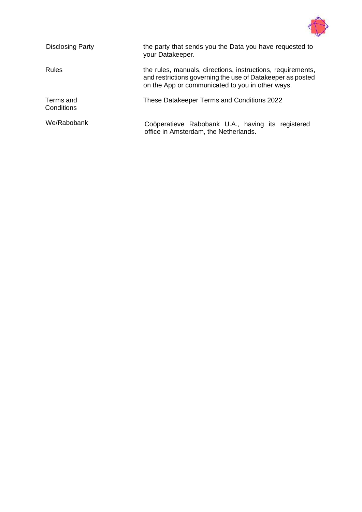

| <b>Disclosing Party</b> | the party that sends you the Data you have requested to<br>your Datakeeper.                                                                                                   |
|-------------------------|-------------------------------------------------------------------------------------------------------------------------------------------------------------------------------|
| <b>Rules</b>            | the rules, manuals, directions, instructions, requirements,<br>and restrictions governing the use of Datakeeper as posted<br>on the App or communicated to you in other ways. |
| Terms and<br>Conditions | These Datakeeper Terms and Conditions 2022                                                                                                                                    |
| We/Rabobank             | Coöperatieve Rabobank U.A., having its registered<br>office in Amsterdam, the Netherlands.                                                                                    |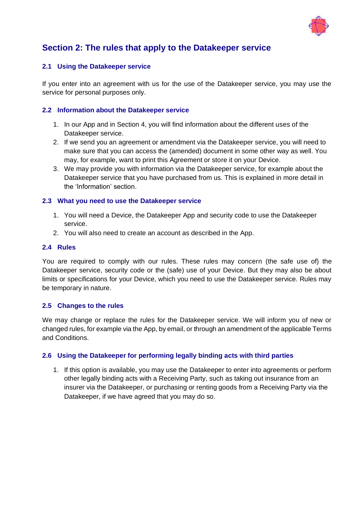

# <span id="page-3-0"></span>**Section 2: The rules that apply to the Datakeeper service**

## **2.1 Using the Datakeeper service**

If you enter into an agreement with us for the use of the Datakeeper service, you may use the service for personal purposes only.

#### **2.2 Information about the Datakeeper service**

- 1. In our App and in Section 4, you will find information about the different uses of the Datakeeper service.
- 2. If we send you an agreement or amendment via the Datakeeper service, you will need to make sure that you can access the (amended) document in some other way as well. You may, for example, want to print this Agreement or store it on your Device.
- 3. We may provide you with information via the Datakeeper service, for example about the Datakeeper service that you have purchased from us. This is explained in more detail in the 'Information' section.

#### **2.3 What you need to use the Datakeeper service**

- 1. You will need a Device, the Datakeeper App and security code to use the Datakeeper service.
- 2. You will also need to create an account as described in the App.

# **2.4 Rules**

You are required to comply with our rules. These rules may concern (the safe use of) the Datakeeper service, security code or the (safe) use of your Device. But they may also be about limits or specifications for your Device, which you need to use the Datakeeper service. Rules may be temporary in nature.

#### **2.5 Changes to the rules**

We may change or replace the rules for the Datakeeper service. We will inform you of new or changed rules, for example via the App, by email, or through an amendment of the applicable Terms and Conditions.

## **2.6 Using the Datakeeper for performing legally binding acts with third parties**

1. If this option is available, you may use the Datakeeper to enter into agreements or perform other legally binding acts with a Receiving Party, such as taking out insurance from an insurer via the Datakeeper, or purchasing or renting goods from a Receiving Party via the Datakeeper, if we have agreed that you may do so.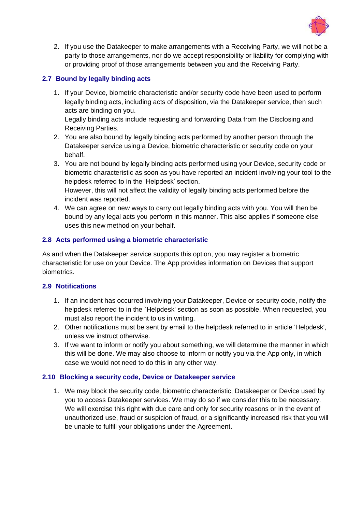

2. If you use the Datakeeper to make arrangements with a Receiving Party, we will not be a party to those arrangements, nor do we accept responsibility or liability for complying with or providing proof of those arrangements between you and the Receiving Party.

# **2.7 Bound by legally binding acts**

1. If your Device, biometric characteristic and/or security code have been used to perform legally binding acts, including acts of disposition, via the Datakeeper service, then such acts are binding on you.

Legally binding acts include requesting and forwarding Data from the Disclosing and Receiving Parties.

- 2. You are also bound by legally binding acts performed by another person through the Datakeeper service using a Device, biometric characteristic or security code on your behalf.
- 3. You are not bound by legally binding acts performed using your Device, security code or biometric characteristic as soon as you have reported an incident involving your tool to the helpdesk referred to in the 'Helpdesk' section. However, this will not affect the validity of legally binding acts performed before the incident was reported.
- 4. We can agree on new ways to carry out legally binding acts with you. You will then be bound by any legal acts you perform in this manner. This also applies if someone else uses this new method on your behalf.

## **2.8 Acts performed using a biometric characteristic**

As and when the Datakeeper service supports this option, you may register a biometric characteristic for use on your Device. The App provides information on Devices that support biometrics.

## **2.9 Notifications**

- 1. If an incident has occurred involving your Datakeeper, Device or security code, notify the helpdesk referred to in the `Helpdesk' section as soon as possible. When requested, you must also report the incident to us in writing.
- 2. Other notifications must be sent by email to the helpdesk referred to in article 'Helpdesk', unless we instruct otherwise.
- 3. If we want to inform or notify you about something, we will determine the manner in which this will be done. We may also choose to inform or notify you via the App only, in which case we would not need to do this in any other way.

#### **2.10 Blocking a security code, Device or Datakeeper service**

1. We may block the security code, biometric characteristic, Datakeeper or Device used by you to access Datakeeper services. We may do so if we consider this to be necessary. We will exercise this right with due care and only for security reasons or in the event of unauthorized use, fraud or suspicion of fraud, or a significantly increased risk that you will be unable to fulfill your obligations under the Agreement.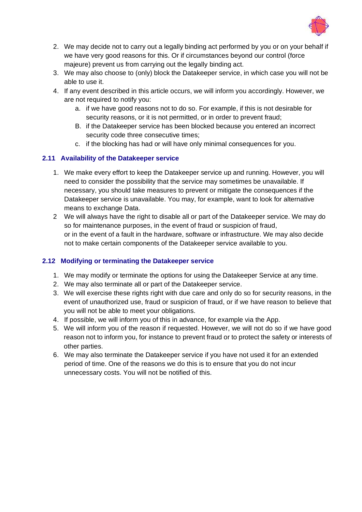

- 2. We may decide not to carry out a legally binding act performed by you or on your behalf if we have very good reasons for this. Or if circumstances beyond our control (force majeure) prevent us from carrying out the legally binding act.
- 3. We may also choose to (only) block the Datakeeper service, in which case you will not be able to use it.
- 4. If any event described in this article occurs, we will inform you accordingly. However, we are not required to notify you:
	- a. if we have good reasons not to do so. For example, if this is not desirable for security reasons, or it is not permitted, or in order to prevent fraud;
	- B. if the Datakeeper service has been blocked because you entered an incorrect security code three consecutive times;
	- c. if the blocking has had or will have only minimal consequences for you.

# **2.11 Availability of the Datakeeper service**

- 1. We make every effort to keep the Datakeeper service up and running. However, you will need to consider the possibility that the service may sometimes be unavailable. If necessary, you should take measures to prevent or mitigate the consequences if the Datakeeper service is unavailable. You may, for example, want to look for alternative means to exchange Data.
- 2 We will always have the right to disable all or part of the Datakeeper service. We may do so for maintenance purposes, in the event of fraud or suspicion of fraud, or in the event of a fault in the hardware, software or infrastructure. We may also decide not to make certain components of the Datakeeper service available to you.

## **2.12 Modifying or terminating the Datakeeper service**

- 1. We may modify or terminate the options for using the Datakeeper Service at any time.
- 2. We may also terminate all or part of the Datakeeper service.
- 3. We will exercise these rights right with due care and only do so for security reasons, in the event of unauthorized use, fraud or suspicion of fraud, or if we have reason to believe that you will not be able to meet your obligations.
- 4. If possible, we will inform you of this in advance, for example via the App.
- 5. We will inform you of the reason if requested. However, we will not do so if we have good reason not to inform you, for instance to prevent fraud or to protect the safety or interests of other parties.
- 6. We may also terminate the Datakeeper service if you have not used it for an extended period of time. One of the reasons we do this is to ensure that you do not incur unnecessary costs. You will not be notified of this.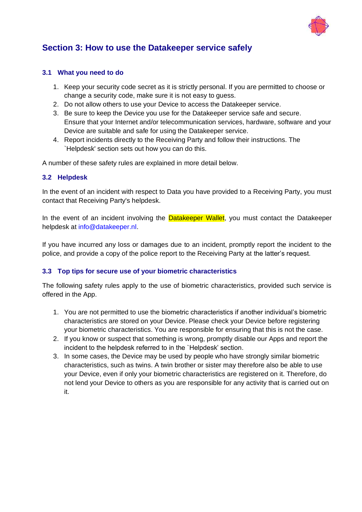

# <span id="page-6-0"></span>**Section 3: How to use the Datakeeper service safely**

#### **3.1 What you need to do**

- 1. Keep your security code secret as it is strictly personal. If you are permitted to choose or change a security code, make sure it is not easy to guess.
- 2. Do not allow others to use your Device to access the Datakeeper service.
- 3. Be sure to keep the Device you use for the Datakeeper service safe and secure. Ensure that your Internet and/or telecommunication services, hardware, software and your Device are suitable and safe for using the Datakeeper service.
- 4. Report incidents directly to the Receiving Party and follow their instructions. The `Helpdesk' section sets out how you can do this.

A number of these safety rules are explained in more detail below.

#### **3.2 Helpdesk**

In the event of an incident with respect to Data you have provided to a Receiving Party, you must contact that Receiving Party's helpdesk.

In the event of an incident involving the **Datakeeper Wallet**, you must contact the Datakeeper helpdesk at [info@datakeeper.nl.](mailto:info@datakeeper.nl)

If you have incurred any loss or damages due to an incident, promptly report the incident to the police, and provide a copy of the police report to the Receiving Party at the latter's request.

## **3.3 Top tips for secure use of your biometric characteristics**

The following safety rules apply to the use of biometric characteristics, provided such service is offered in the App.

- 1. You are not permitted to use the biometric characteristics if another individual's biometric characteristics are stored on your Device. Please check your Device before registering your biometric characteristics. You are responsible for ensuring that this is not the case.
- 2. If you know or suspect that something is wrong, promptly disable our Apps and report the incident to the helpdesk referred to in the `Helpdesk' section.
- 3. In some cases, the Device may be used by people who have strongly similar biometric characteristics, such as twins. A twin brother or sister may therefore also be able to use your Device, even if only your biometric characteristics are registered on it. Therefore, do not lend your Device to others as you are responsible for any activity that is carried out on it.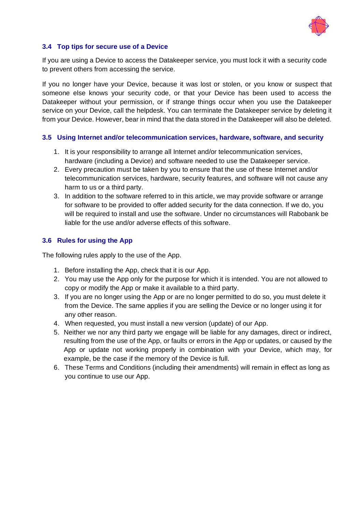

#### **3.4 Top tips for secure use of a Device**

If you are using a Device to access the Datakeeper service, you must lock it with a security code to prevent others from accessing the service.

If you no longer have your Device, because it was lost or stolen, or you know or suspect that someone else knows your security code, or that your Device has been used to access the Datakeeper without your permission, or if strange things occur when you use the Datakeeper service on your Device, call the helpdesk. You can terminate the Datakeeper service by deleting it from your Device. However, bear in mind that the data stored in the Datakeeper will also be deleted.

#### **3.5 Using Internet and/or telecommunication services, hardware, software, and security**

- 1. It is your responsibility to arrange all Internet and/or telecommunication services, hardware (including a Device) and software needed to use the Datakeeper service.
- 2. Every precaution must be taken by you to ensure that the use of these Internet and/or telecommunication services, hardware, security features, and software will not cause any harm to us or a third party.
- 3. In addition to the software referred to in this article, we may provide software or arrange for software to be provided to offer added security for the data connection. If we do, you will be required to install and use the software. Under no circumstances will Rabobank be liable for the use and/or adverse effects of this software.

#### **3.6 Rules for using the App**

The following rules apply to the use of the App.

- 1. Before installing the App, check that it is our App.
- 2. You may use the App only for the purpose for which it is intended. You are not allowed to copy or modify the App or make it available to a third party.
- 3. If you are no longer using the App or are no longer permitted to do so, you must delete it from the Device. The same applies if you are selling the Device or no longer using it for any other reason.
- 4. When requested, you must install a new version (update) of our App.
- 5. Neither we nor any third party we engage will be liable for any damages, direct or indirect, resulting from the use of the App, or faults or errors in the App or updates, or caused by the App or update not working properly in combination with your Device, which may, for example, be the case if the memory of the Device is full.
- 6. These Terms and Conditions (including their amendments) will remain in effect as long as you continue to use our App.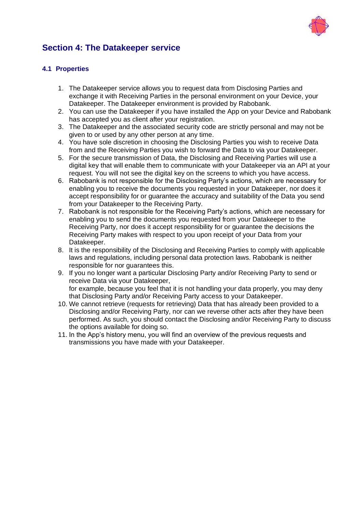

# <span id="page-8-0"></span>**Section 4: The Datakeeper service**

# **4.1 Properties**

- 1. The Datakeeper service allows you to request data from Disclosing Parties and exchange it with Receiving Parties in the personal environment on your Device, your Datakeeper. The Datakeeper environment is provided by Rabobank.
- 2. You can use the Datakeeper if you have installed the App on your Device and Rabobank has accepted you as client after your registration.
- 3. The Datakeeper and the associated security code are strictly personal and may not be given to or used by any other person at any time.
- 4. You have sole discretion in choosing the Disclosing Parties you wish to receive Data from and the Receiving Parties you wish to forward the Data to via your Datakeeper.
- 5. For the secure transmission of Data, the Disclosing and Receiving Parties will use a digital key that will enable them to communicate with your Datakeeper via an API at your request. You will not see the digital key on the screens to which you have access.
- 6. Rabobank is not responsible for the Disclosing Party's actions, which are necessary for enabling you to receive the documents you requested in your Datakeeper, nor does it accept responsibility for or guarantee the accuracy and suitability of the Data you send from your Datakeeper to the Receiving Party.
- 7. Rabobank is not responsible for the Receiving Party's actions, which are necessary for enabling you to send the documents you requested from your Datakeeper to the Receiving Party, nor does it accept responsibility for or guarantee the decisions the Receiving Party makes with respect to you upon receipt of your Data from your Datakeeper.
- 8. It is the responsibility of the Disclosing and Receiving Parties to comply with applicable laws and regulations, including personal data protection laws. Rabobank is neither responsible for nor guarantees this.
- 9. If you no longer want a particular Disclosing Party and/or Receiving Party to send or receive Data via your Datakeeper, for example, because you feel that it is not handling your data properly, you may deny that Disclosing Party and/or Receiving Party access to your Datakeeper.
- 10. We cannot retrieve (requests for retrieving) Data that has already been provided to a Disclosing and/or Receiving Party, nor can we reverse other acts after they have been performed. As such, you should contact the Disclosing and/or Receiving Party to discuss the options available for doing so.
- 11. In the App's history menu, you will find an overview of the previous requests and transmissions you have made with your Datakeeper.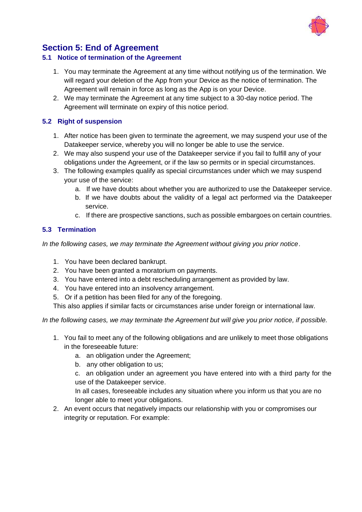

# <span id="page-9-0"></span>**Section 5: End of Agreement**

#### **5.1 Notice of termination of the Agreement**

- 1. You may terminate the Agreement at any time without notifying us of the termination. We will regard your deletion of the App from your Device as the notice of termination. The Agreement will remain in force as long as the App is on your Device.
- 2. We may terminate the Agreement at any time subject to a 30-day notice period. The Agreement will terminate on expiry of this notice period.

## **5.2 Right of suspension**

- 1. After notice has been given to terminate the agreement, we may suspend your use of the Datakeeper service, whereby you will no longer be able to use the service.
- 2. We may also suspend your use of the Datakeeper service if you fail to fulfill any of your obligations under the Agreement, or if the law so permits or in special circumstances.
- 3. The following examples qualify as special circumstances under which we may suspend your use of the service:
	- a. If we have doubts about whether you are authorized to use the Datakeeper service.
	- b. If we have doubts about the validity of a legal act performed via the Datakeeper service.
	- c. If there are prospective sanctions, such as possible embargoes on certain countries.

## **5.3 Termination**

*In the following cases, we may terminate the Agreement without giving you prior notice*.

- 1. You have been declared bankrupt.
- 2. You have been granted a moratorium on payments.
- 3. You have entered into a debt rescheduling arrangement as provided by law.
- 4. You have entered into an insolvency arrangement.
- 5. Or if a petition has been filed for any of the foregoing.

This also applies if similar facts or circumstances arise under foreign or international law.

*In the following cases, we may terminate the Agreement but will give you prior notice, if possible.*

- 1. You fail to meet any of the following obligations and are unlikely to meet those obligations in the foreseeable future:
	- a. an obligation under the Agreement;
	- b. any other obligation to us;

c. an obligation under an agreement you have entered into with a third party for the use of the Datakeeper service.

In all cases, foreseeable includes any situation where you inform us that you are no longer able to meet your obligations.

2. An event occurs that negatively impacts our relationship with you or compromises our integrity or reputation. For example: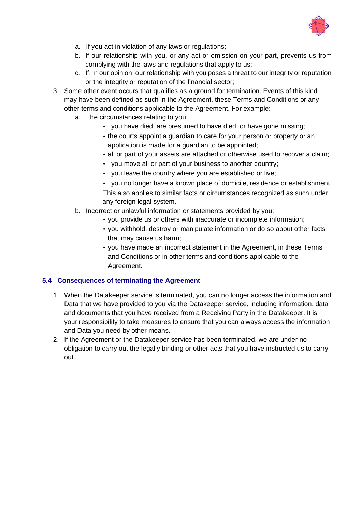

- a. If you act in violation of any laws or regulations;
- b. If our relationship with you, or any act or omission on your part, prevents us from complying with the laws and regulations that apply to us;
- c. If, in our opinion, our relationship with you poses a threat to our integrity or reputation or the integrity or reputation of the financial sector;
- 3. Some other event occurs that qualifies as a ground for termination. Events of this kind may have been defined as such in the Agreement, these Terms and Conditions or any other terms and conditions applicable to the Agreement. For example:
	- a. The circumstances relating to you:
		- you have died, are presumed to have died, or have gone missing;
		- the courts appoint a guardian to care for your person or property or an application is made for a guardian to be appointed;
		- all or part of your assets are attached or otherwise used to recover a claim;
		- you move all or part of your business to another country;
		- you leave the country where you are established or live;
		- you no longer have a known place of domicile, residence or establishment. This also applies to similar facts or circumstances recognized as such under any foreign legal system.
	- b. Incorrect or unlawful information or statements provided by you:
		- you provide us or others with inaccurate or incomplete information;
		- you withhold, destroy or manipulate information or do so about other facts that may cause us harm;
		- you have made an incorrect statement in the Agreement, in these Terms and Conditions or in other terms and conditions applicable to the Agreement.

#### **5.4 Consequences of terminating the Agreement**

- 1. When the Datakeeper service is terminated, you can no longer access the information and Data that we have provided to you via the Datakeeper service, including information, data and documents that you have received from a Receiving Party in the Datakeeper. It is your responsibility to take measures to ensure that you can always access the information and Data you need by other means.
- 2. If the Agreement or the Datakeeper service has been terminated, we are under no obligation to carry out the legally binding or other acts that you have instructed us to carry out.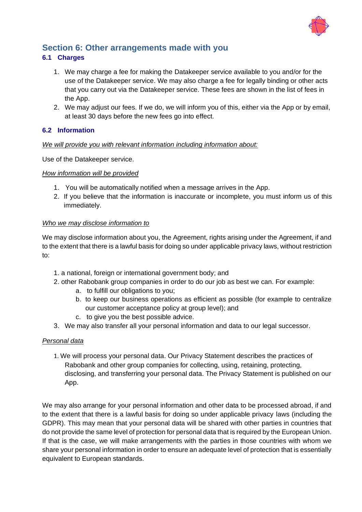

# <span id="page-11-0"></span>**Section 6: Other arrangements made with you**

# **6.1 Charges**

- 1. We may charge a fee for making the Datakeeper service available to you and/or for the use of the Datakeeper service. We may also charge a fee for legally binding or other acts that you carry out via the Datakeeper service. These fees are shown in the list of fees in the App.
- 2. We may adjust our fees. If we do, we will inform you of this, either via the App or by email, at least 30 days before the new fees go into effect.

## **6.2 Information**

#### *We will provide you with relevant information including information about:*

Use of the Datakeeper service.

#### *How information will be provided*

- 1. You will be automatically notified when a message arrives in the App.
- 2. If you believe that the information is inaccurate or incomplete, you must inform us of this immediately.

#### *Who we may disclose information to*

We may disclose information about you, the Agreement, rights arising under the Agreement, if and to the extent that there is a lawful basis for doing so under applicable privacy laws, without restriction to:

- 1. a national, foreign or international government body; and
- 2. other Rabobank group companies in order to do our job as best we can. For example:
	- a. to fulfill our obligations to you;
	- b. to keep our business operations as efficient as possible (for example to centralize our customer acceptance policy at group level); and
	- c. to give you the best possible advice.
- 3. We may also transfer all your personal information and data to our legal successor.

#### *Personal data*

1. We will process your personal data. Our Privacy Statement describes the practices of Rabobank and other group companies for collecting, using, retaining, protecting, disclosing, and transferring your personal data. The Privacy Statement is published on our App.

We may also arrange for your personal information and other data to be processed abroad, if and to the extent that there is a lawful basis for doing so under applicable privacy laws (including the GDPR). This may mean that your personal data will be shared with other parties in countries that do not provide the same level of protection for personal data that is required by the European Union. If that is the case, we will make arrangements with the parties in those countries with whom we share your personal information in order to ensure an adequate level of protection that is essentially equivalent to European standards.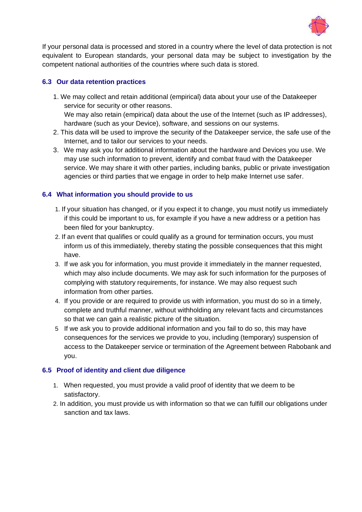

If your personal data is processed and stored in a country where the level of data protection is not equivalent to European standards, your personal data may be subject to investigation by the competent national authorities of the countries where such data is stored.

# **6.3 Our data retention practices**

- 1. We may collect and retain additional (empirical) data about your use of the Datakeeper service for security or other reasons. We may also retain (empirical) data about the use of the Internet (such as IP addresses), hardware (such as your Device), software, and sessions on our systems.
- 2. This data will be used to improve the security of the Datakeeper service, the safe use of the Internet, and to tailor our services to your needs.
- 3. We may ask you for additional information about the hardware and Devices you use. We may use such information to prevent, identify and combat fraud with the Datakeeper service. We may share it with other parties, including banks, public or private investigation agencies or third parties that we engage in order to help make Internet use safer.

# **6.4 What information you should provide to us**

- 1. If your situation has changed, or if you expect it to change, you must notify us immediately if this could be important to us, for example if you have a new address or a petition has been filed for your bankruptcy.
- 2. If an event that qualifies or could qualify as a ground for termination occurs, you must inform us of this immediately, thereby stating the possible consequences that this might have.
- 3. If we ask you for information, you must provide it immediately in the manner requested, which may also include documents. We may ask for such information for the purposes of complying with statutory requirements, for instance. We may also request such information from other parties.
- 4. If you provide or are required to provide us with information, you must do so in a timely, complete and truthful manner, without withholding any relevant facts and circumstances so that we can gain a realistic picture of the situation.
- 5 If we ask you to provide additional information and you fail to do so, this may have consequences for the services we provide to you, including (temporary) suspension of access to the Datakeeper service or termination of the Agreement between Rabobank and you.

## **6.5 Proof of identity and client due diligence**

- 1. When requested, you must provide a valid proof of identity that we deem to be satisfactory.
- 2. In addition, you must provide us with information so that we can fulfill our obligations under sanction and tax laws.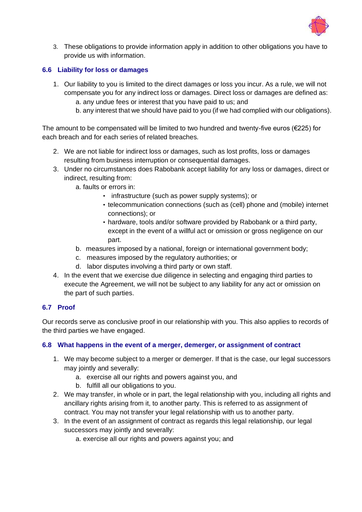

3. These obligations to provide information apply in addition to other obligations you have to provide us with information.

# **6.6 Liability for loss or damages**

- 1. Our liability to you is limited to the direct damages or loss you incur. As a rule, we will not compensate you for any indirect loss or damages. Direct loss or damages are defined as: a. any undue fees or interest that you have paid to us; and
	- b. any interest that we should have paid to you (if we had complied with our obligations).

The amount to be compensated will be limited to two hundred and twenty-five euros (€225) for each breach and for each series of related breaches.

- 2. We are not liable for indirect loss or damages, such as lost profits, loss or damages resulting from business interruption or consequential damages.
- 3. Under no circumstances does Rabobank accept liability for any loss or damages, direct or indirect, resulting from:
	- a. faults or errors in:
		- infrastructure (such as power supply systems); or
		- telecommunication connections (such as (cell) phone and (mobile) internet connections); or
		- hardware, tools and/or software provided by Rabobank or a third party, except in the event of a willful act or omission or gross negligence on our part.
	- b. measures imposed by a national, foreign or international government body;
	- c. measures imposed by the regulatory authorities; or
	- d. labor disputes involving a third party or own staff.
- 4. In the event that we exercise due diligence in selecting and engaging third parties to execute the Agreement, we will not be subject to any liability for any act or omission on the part of such parties.

## **6.7 Proof**

Our records serve as conclusive proof in our relationship with you. This also applies to records of the third parties we have engaged.

#### **6.8 What happens in the event of a merger, demerger, or assignment of contract**

- 1. We may become subject to a merger or demerger. If that is the case, our legal successors may jointly and severally:
	- a. exercise all our rights and powers against you, and
	- b. fulfill all our obligations to you.
- 2. We may transfer, in whole or in part, the legal relationship with you, including all rights and ancillary rights arising from it, to another party. This is referred to as assignment of contract. You may not transfer your legal relationship with us to another party.
- 3. In the event of an assignment of contract as regards this legal relationship, our legal successors may jointly and severally:
	- a. exercise all our rights and powers against you; and